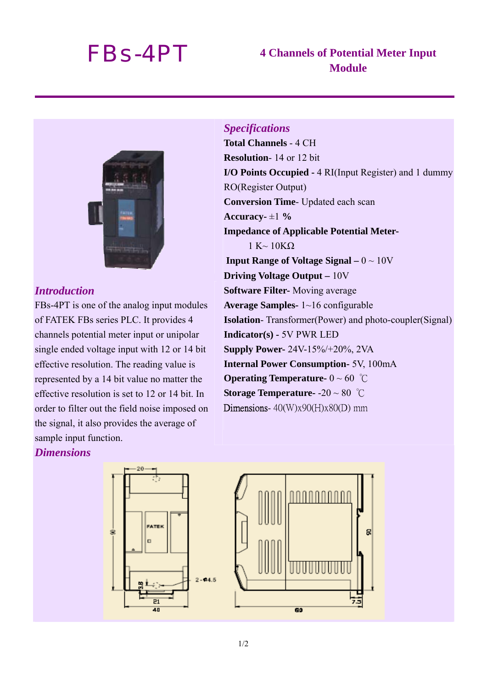# *FBs-4PT* **4 Channels of Potential Meter Input Module**



### *Introduction*

FBs-4PT is one of the analog input modules of FATEK FBs series PLC. It provides 4 channels potential meter input or unipolar single ended voltage input with 12 or 14 bit effective resolution. The reading value is represented by a 14 bit value no matter the effective resolution is set to 12 or 14 bit. In order to filter out the field noise imposed on the signal, it also provides the average of sample input function.

Ś

#### *Dimensions*

*Specifications*  **Total Channels** - 4 CH **Resolution**- 14 or 12 bit **I/O Points Occupied -** 4 RI(Input Register) and 1 dummy RO(Register Output) **Conversion Time**- Updated each scan **Accuracy-**  $\pm 1\%$ **Impedance of Applicable Potential Meter-** $1 K \sim 10 K\Omega$ **Input Range of Voltage Signal –**  $0 \sim 10V$ **Driving Voltage Output –** 10V **Software Filter-** Moving average **Average Samples-** 1~16 configurable **Isolation**- Transformer(Power) and photo-coupler(Signal) **Indicator(s) -** 5V PWR LED **Supply Power-** 24V-15%/+20%, 2VA **Internal Power Consumption-** 5V, 100mA **Operating Temperature-** 0 ~ 60 ℃ **Storage Temperature-** -20 ~ 80 ℃ Dimensions-  $40$ (W)x90(H)x80(D) mm